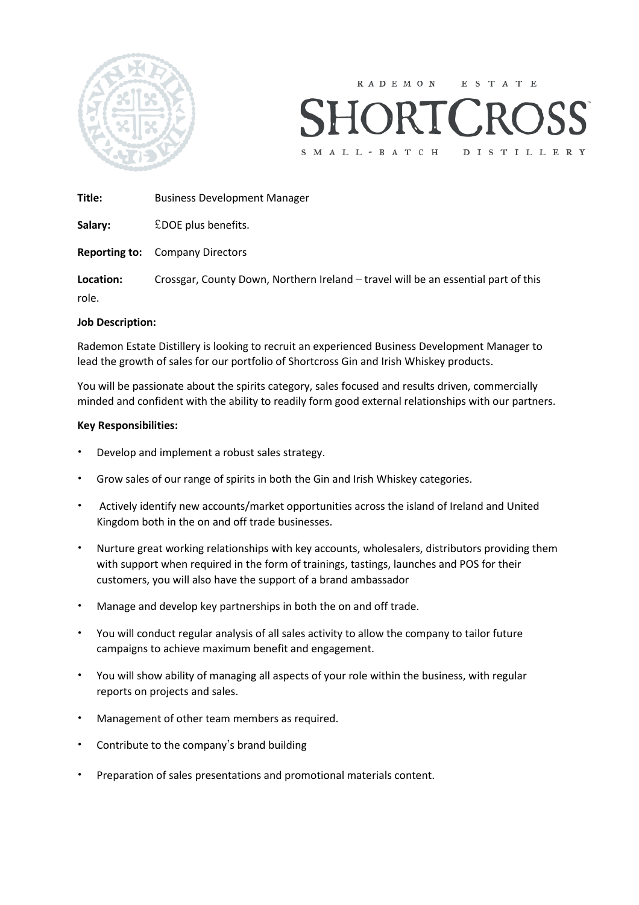

**RADEMON** E S T A T E S M A L L - B A T C H DISTILLERY

**Title:** Business Development Manager

Salary: EDOE plus benefits.

**Reporting to:** Company Directors

**Location:** Crossgar, County Down, Northern Ireland – travel will be an essential part of this role.

## **Job Description:**

Rademon Estate Distillery is looking to recruit an experienced Business Development Manager to lead the growth of sales for our portfolio of Shortcross Gin and Irish Whiskey products.

You will be passionate about the spirits category, sales focused and results driven, commercially minded and confident with the ability to readily form good external relationships with our partners.

## **Key Responsibilities:**

- Develop and implement a robust sales strategy.
- Grow sales of our range of spirits in both the Gin and Irish Whiskey categories.
- Actively identify new accounts/market opportunities across the island of Ireland and United Kingdom both in the on and off trade businesses.
- Nurture great working relationships with key accounts, wholesalers, distributors providing them with support when required in the form of trainings, tastings, launches and POS for their customers, you will also have the support of a brand ambassador
- Manage and develop key partnerships in both the on and off trade.
- You will conduct regular analysis of all sales activity to allow the company to tailor future campaigns to achieve maximum benefit and engagement.
- You will show ability of managing all aspects of your role within the business, with regular reports on projects and sales.
- Management of other team members as required.
- Contribute to the company's brand building
- Preparation of sales presentations and promotional materials content.